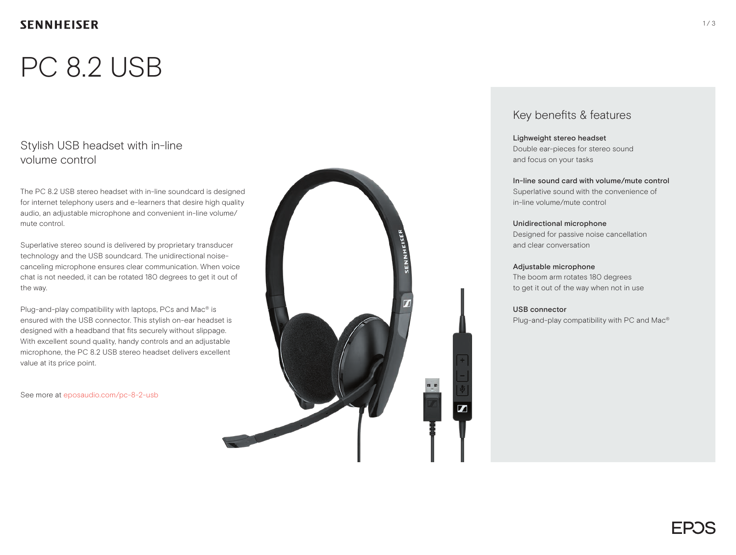# PC 8.2 USB

### Stylish USB headset with in-line volume control

The PC 8.2 USB stereo headset with in-line soundcard is designed for internet telephony users and e-learners that desire high quality audio, an adjustable microphone and convenient in-line volume/ mute control.

Superlative stereo sound is delivered by proprietary transducer technology and the USB soundcard. The unidirectional noisecanceling microphone ensures clear communication. When voice chat is not needed, it can be rotated 180 degrees to get it out of the way.

Plug-and-play compatibility with laptops, PCs and Mac® is ensured with the USB connector. This stylish on-ear headset is designed with a headband that fits securely without slippage. With excellent sound quality, handy controls and an adjustable microphone, the PC 8.2 USB stereo headset delivers excellent value at its price point.

See more at eposaudio.com/pc-8-2-usb



### Key benefits & features

#### Lighweight stereo headset Double ear-pieces for stereo sound and focus on your tasks

In-line sound card with volume/mute control Superlative sound with the convenience of in-line volume/mute control

Unidirectional microphone Designed for passive noise cancellation and clear conversation

#### Adjustable microphone The boom arm rotates 180 degrees to get it out of the way when not in use

USB connector

Plug-and-play compatibility with PC and Mac®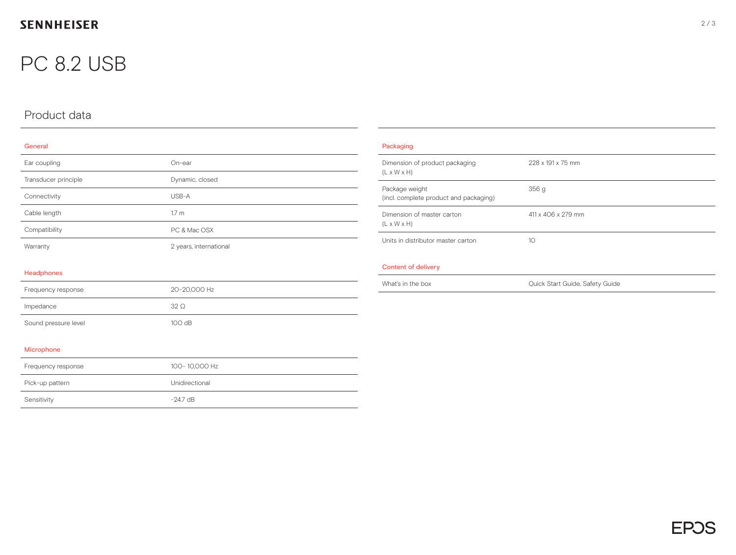## **SENNHEISER**

## PC 8.2 USB

## Product data

#### General

| Ear coupling         | $On-ear$               |
|----------------------|------------------------|
| Transducer principle | Dynamic, closed        |
| Connectivity         | USB-A                  |
| Cable length         | 1.7 <sub>m</sub>       |
| Compatibility        | PC & Mac OSX           |
| Warranty             | 2 years, international |

| Packaging                                                 |                                 |  |
|-----------------------------------------------------------|---------------------------------|--|
| Dimension of product packaging<br>$(L \times W \times H)$ | 228 x 191 x 75 mm               |  |
| Package weight<br>(incl. complete product and packaging)  | 356g                            |  |
| Dimension of master carton<br>$(L \times W \times H)$     | 411 x 406 x 279 mm              |  |
| Units in distributor master carton                        | 10 <sup>2</sup>                 |  |
| <b>Content of delivery</b>                                |                                 |  |
| What's in the box                                         | Quick Start Guide, Safety Guide |  |

#### Headphones

| Frequency response   | 20-20.000 Hz |
|----------------------|--------------|
| Impedance            | 32O          |
| Sound pressure level | 100dB        |

#### Microphone

| Frequency response | 100-10.000 Hz  |
|--------------------|----------------|
| Pick-up pattern    | Unidirectional |
| Sensitivity        | $-24.7$ dB     |